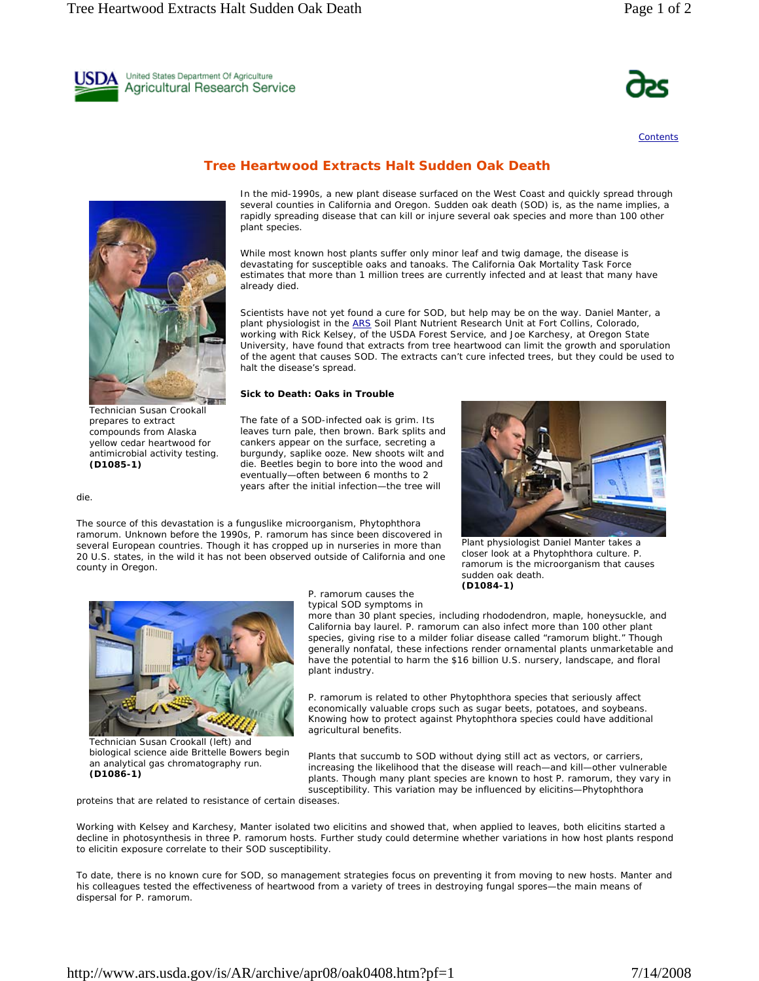United States Department Of Agriculture Agricultural Research Service

Technician Susan Crookall prepares to extract compounds from Alaska yellow cedar heartwood for antimicrobial activity testing. **(D1085-1)**

die.

The source of this devastation is a funguslike microorganism, *Phytophthora ramorum*. Unknown before the 1990s, *P. ramorum* has since been discovered in several European countries. Though it has cropped up in nurseries in more than 20 U.S. states, in the wild it has not been observed outside of California and one county in Oregon.

*P. ramorum* causes the

typical SOD symptoms in

more than 30 plant species, including rhododendron, maple, honeysuckle, and California bay laurel. *P. ramorum* can also infect more than 100 other plant species, giving rise to a milder foliar disease called "ramorum blight." Though generally nonfatal, these infections render ornamental plants unmarketable and have the potential to harm the \$16 billion U.S. nursery, landscape, and floral plant industry.

sudden oak death. **(D1084-1)**

*P. ramorum* is related to other *Phytophthora* species that seriously affect economically valuable crops such as sugar beets, potatoes, and soybeans. Knowing how to protect against *Phytophthora* species could have additional agricultural benefits.

Plants that succumb to SOD without dying still act as vectors, or carriers, increasing the likelihood that the disease will reach—and kill—other vulnerable plants. Though many plant species are known to host *P. ramorum,* they vary in susceptibility. This variation may be influenced by elicitins—*Phytophthora* 

proteins that are related to resistance of certain diseases.

Working with Kelsey and Karchesy, Manter isolated two elicitins and showed that, when applied to leaves, both elicitins started a decline in photosynthesis in three *P. ramorum* hosts. Further study could determine whether variations in how host plants respond to elicitin exposure correlate to their SOD susceptibility.

To date, there is no known cure for SOD, so management strategies focus on preventing it from moving to new hosts. Manter and his colleagues tested the effectiveness of heartwood from a variety of trees in destroying fungal spores—the main means of dispersal for *P. ramorum*.

http://www.ars.usda.gov/is/AR/archive/apr08/oak0408.htm?pf=1 7/14/2008

## **Tree Heartwood Extracts Halt Sudden Oak Death**

In the mid-1990s, a new plant disease surfaced on the West Coast and quickly spread through several counties in California and Oregon. Sudden oak death (SOD) is, as the name implies, a rapidly spreading disease that can kill or injure several oak species and more than 100 other plant species.

While most known host plants suffer only minor leaf and twig damage, the disease is devastating for susceptible oaks and tanoaks. The California Oak Mortality Task Force estimates that more than 1 million trees are currently infected and at least that many have already died.

Scientists have not yet found a cure for SOD, but help may be on the way. Daniel Manter, a plant physiologist in the ARS Soil Plant Nutrient Research Unit at Fort Collins, Colorado, working with Rick Kelsey, of the USDA Forest Service, and Joe Karchesy, at Oregon State University, have found that extracts from tree heartwood can limit the growth and sporulation of the agent that causes SOD. The extracts can't cure infected trees, but they could be used to halt the disease's spread.

## **Sick to Death: Oaks in Trouble**

The fate of a SOD-infected oak is grim. Its leaves turn pale, then brown. Bark splits and cankers appear on the surface, secreting a burgundy, saplike ooze. New shoots wilt and die. Beetles begin to bore into the wood and eventually—often between 6 months to 2 years after the initial infection—the tree will





biological science aide Brittelle Bowers begin an analytical gas chromatography run.

**(D1086-1)**



**Contents**